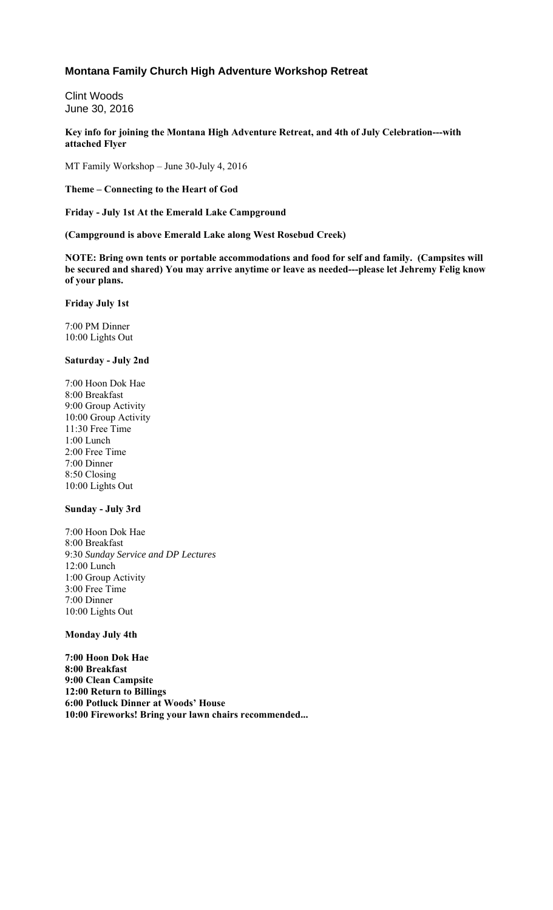## **Montana Family Church High Adventure Workshop Retreat**

Clint Woods June 30, 2016

**Key info for joining the Montana High Adventure Retreat, and 4th of July Celebration---with attached Flyer** 

MT Family Workshop – June 30-July 4, 2016

**Theme – Connecting to the Heart of God**

**Friday - July 1st At the Emerald Lake Campground**

**(Campground is above Emerald Lake along West Rosebud Creek)**

**NOTE: Bring own tents or portable accommodations and food for self and family. (Campsites will be secured and shared) You may arrive anytime or leave as needed---please let Jehremy Felig know of your plans.**

**Friday July 1st**

7:00 PM Dinner 10:00 Lights Out

#### **Saturday - July 2nd**

7:00 Hoon Dok Hae 8:00 Breakfast 9:00 Group Activity 10:00 Group Activity 11:30 Free Time 1:00 Lunch 2:00 Free Time 7:00 Dinner 8:50 Closing 10:00 Lights Out

## **Sunday - July 3rd**

7:00 Hoon Dok Hae 8:00 Breakfast 9:30 *Sunday Service and DP Lectures* 12:00 Lunch 1:00 Group Activity 3:00 Free Time 7:00 Dinner 10:00 Lights Out

### **Monday July 4th**

**7:00 Hoon Dok Hae 8:00 Breakfast 9:00 Clean Campsite 12:00 Return to Billings 6:00 Potluck Dinner at Woods' House 10:00 Fireworks! Bring your lawn chairs recommended...**